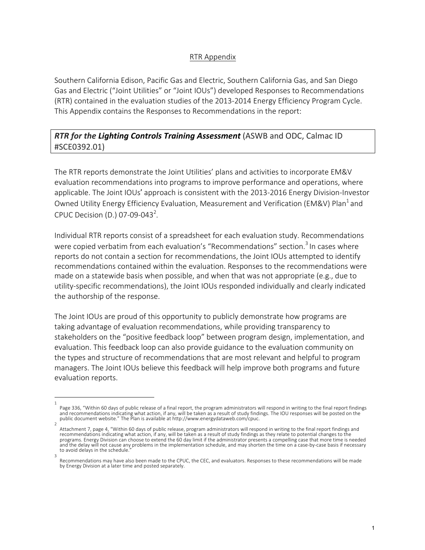## RTR Appendix

Southern California Edison, Pacific Gas and Electric, Southern California Gas, and San Diego Gas and Electric ("Joint Utilities" or "Joint IOUs") developed Responses to Recommendations (RTR) contained in the evaluation studies of the 2013-2014 Energy Efficiency Program Cycle. This Appendix contains the Responses to Recommendations in the report:

## *RTR for the Lighting Controls Training Assessment* (ASWB and ODC, Calmac ID #SCE0392.01)

The RTR reports demonstrate the Joint Utilities' plans and activities to incorporate EM&V evaluation recommendations into programs to improve performance and operations, where applicable. The Joint IOUs' approach is consistent with the 2013-2016 Energy Division-Investor Owned Utility Energy Efficiency Evaluation, Measurement and Verification (EM&V) Plan<sup>1</sup> and CPUC Decision (D.) 07-09-043<sup>2</sup>.

Individual RTR reports consist of a spreadsheet for each evaluation study. Recommendations were copied verbatim from each evaluation's "Recommendations" section.<sup>3</sup> In cases where reports do not contain a section for recommendations, the Joint IOUs attempted to identify recommendations contained within the evaluation. Responses to the recommendations were made on a statewide basis when possible, and when that was not appropriate (e.g., due to utility-specific recommendations), the Joint IOUs responded individually and clearly indicated the authorship of the response.

The Joint IOUs are proud of this opportunity to publicly demonstrate how programs are taking advantage of evaluation recommendations, while providing transparency to stakeholders on the "positive feedback loop" between program design, implementation, and evaluation. This feedback loop can also provide guidance to the evaluation community on the types and structure of recommendations that are most relevant and helpful to program managers. The Joint IOUs believe this feedback will help improve both programs and future evaluation reports.

<sup>1</sup> Page 336, "Within 60 days of public release of a final report, the program administrators will respond in writing to the final report findings and recommendations indicating what action, if any, will be taken as a result of study findings. The IOU responses will be posted on the public document website." The Plan is available at http://www.energydataweb.com/cpuc.

<sup>2</sup> Attachment 7, page 4, "Within 60 days of public release, program administrators will respond in writing to the final report findings and<br>recommendations indicating what action, if any, will be taken as a result of study fi programs. Energy Division can choose to extend the 60 day limit if the administrator presents a compelling case that more time is needed and the delay will not cause any problems in the implementation schedule, and may shorten the time on a case-by-case basis if necessary to avoid delays in the schedule. 3

Recommendations may have also been made to the CPUC, the CEC, and evaluators. Responses to these recommendations will be made by Energy Division at a later time and posted separately.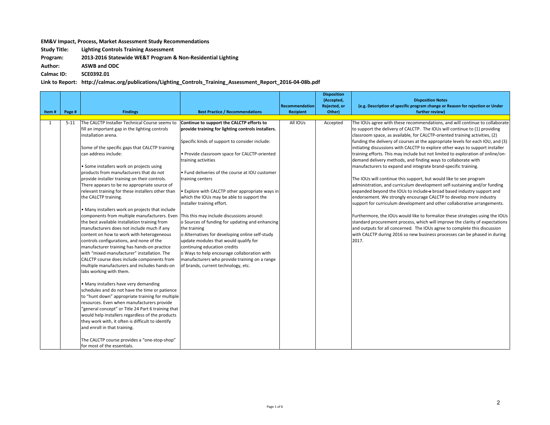## **EM&V** Impact, Process, Market Assessment Study Recommendations

**Study Title:** Lighting Controls Training Assessment

**Program: 2013-2016 Statewide WE&T Program & Non-Residential Lighting** 

**Author: ASWB and ODC**

**Calmac ID: SCE0392.01**

## Link to Report: http://calmac.org/publications/Lighting\_Controls\_Training\_Assessment\_Report\_2016-04-08b.pdf

| Item# | Page #   | <b>Findings</b>                                                                                                                                                                                                                                                                                                                                                                                                                                                                                                                                                                                                                                                                                                                                                                                                                                                                                                                                                                                                                                                                                                                                                                                                                                                                                                                                                                                                                                                     | <b>Best Practice / Recommendations</b>                                                                                                                                                                                                                                                                                                                                                                                                                                                                                                                                                                                                                                                                                                                                                                            | Recommendation<br><b>Recipient</b> | <b>Disposition</b><br>(Accepted,<br>Rejected, or<br>Other) | <b>Disposition Notes</b><br>(e.g. Description of specific program change or Reason for rejection or Under<br>further review)                                                                                                                                                                                                                                                                                                                                                                                                                                                                                                                                                                                                                                                                                                                                                                                                                                                                                                                                                                                                                                                                                                                                                                                                                          |
|-------|----------|---------------------------------------------------------------------------------------------------------------------------------------------------------------------------------------------------------------------------------------------------------------------------------------------------------------------------------------------------------------------------------------------------------------------------------------------------------------------------------------------------------------------------------------------------------------------------------------------------------------------------------------------------------------------------------------------------------------------------------------------------------------------------------------------------------------------------------------------------------------------------------------------------------------------------------------------------------------------------------------------------------------------------------------------------------------------------------------------------------------------------------------------------------------------------------------------------------------------------------------------------------------------------------------------------------------------------------------------------------------------------------------------------------------------------------------------------------------------|-------------------------------------------------------------------------------------------------------------------------------------------------------------------------------------------------------------------------------------------------------------------------------------------------------------------------------------------------------------------------------------------------------------------------------------------------------------------------------------------------------------------------------------------------------------------------------------------------------------------------------------------------------------------------------------------------------------------------------------------------------------------------------------------------------------------|------------------------------------|------------------------------------------------------------|-------------------------------------------------------------------------------------------------------------------------------------------------------------------------------------------------------------------------------------------------------------------------------------------------------------------------------------------------------------------------------------------------------------------------------------------------------------------------------------------------------------------------------------------------------------------------------------------------------------------------------------------------------------------------------------------------------------------------------------------------------------------------------------------------------------------------------------------------------------------------------------------------------------------------------------------------------------------------------------------------------------------------------------------------------------------------------------------------------------------------------------------------------------------------------------------------------------------------------------------------------------------------------------------------------------------------------------------------------|
|       |          |                                                                                                                                                                                                                                                                                                                                                                                                                                                                                                                                                                                                                                                                                                                                                                                                                                                                                                                                                                                                                                                                                                                                                                                                                                                                                                                                                                                                                                                                     |                                                                                                                                                                                                                                                                                                                                                                                                                                                                                                                                                                                                                                                                                                                                                                                                                   |                                    |                                                            |                                                                                                                                                                                                                                                                                                                                                                                                                                                                                                                                                                                                                                                                                                                                                                                                                                                                                                                                                                                                                                                                                                                                                                                                                                                                                                                                                       |
| 1     | $5 - 11$ | The CALCTP Installer Technical Course seems to<br>fill an important gap in the lighting controls<br>installation arena.<br>Some of the specific gaps that CALCTP training<br>can address include:<br>• Some installers work on projects using<br>products from manufacturers that do not<br>provide installer training on their controls.<br>There appears to be no appropriate source of<br>relevant training for these installers other than<br>the CALCTP training.<br>. Many installers work on projects that include<br>components from multiple manufacturers. Even<br>the best available installation training from<br>manufacturers does not include much if any<br>content on how to work with heterogeneous<br>controls configurations, and none of the<br>manufacturer training has hands-on practice<br>with "mixed-manufacturer" installation. The<br>CALCTP course does include components from<br>multiple manufacturers and includes hands-on<br>labs working with them.<br>• Many installers have very demanding<br>schedules and do not have the time or patience<br>to "hunt down" appropriate training for multiple<br>resources. Even when manufacturers provide<br>'general concept" or Title 24 Part 6 training that<br>would help installers regardless of the products<br>they work with, it often is difficult to identify<br>and enroll in that training.<br>The CALCTP course provides a "one-stop-shop"<br>for most of the essentials. | Continue to support the CALCTP efforts to<br>provide training for lighting controls installers.<br>Specific kinds of support to consider include:<br>· Provide classroom space for CALCTP-oriented<br>training activities<br>. Fund deliveries of the course at IOU customer<br>training centers<br>. Explore with CALCTP other appropriate ways in<br>which the IOUs may be able to support the<br>installer training effort.<br>This this may include discussions around:<br>o Sources of funding for updating and enhancing<br>the training<br>o Alternatives for developing online self-study<br>update modules that would qualify for<br>continuing education credits<br>o Ways to help encourage collaboration with<br>manufacturers who provide training on a range<br>of brands, current technology, etc. | All IOUs                           | Accepted                                                   | The IOUs agree with these recommendations, and will continue to collaborate<br>to support the delivery of CALCTP. The IOUs will continue to (1) providing<br>classroom space, as available, for CALCTP-oriented training activities, (2)<br>funding the delivery of courses at the appropriate levels for each IOU, and (3)<br>initiating discussions with CALCTP to explore other ways to support installer<br>training efforts. This may include but not limited to exploration of online/on-<br>demand delivery methods, and finding ways to collaborate with<br>manufacturers to expand and integrate brand-specific training.<br>The IOUs will continue this support, but would like to see program<br>administration, and curriculum development self-sustaining and/or funding<br>expanded beyond the IOUs to include a broad based industry support and<br>endorsement. We strongly encourage CALCTP to develop more industry<br>support for curriculum development and other collaborative arrangements.<br>Furthermore, the IOUs would like to formalize these strategies using the IOUs<br>standard procurement process, which will improve the clarity of expectations<br>and outputs for all concerned. The IOUs agree to complete this discussion<br>with CALCTP during 2016 so new business processes can be phased in during<br>2017. |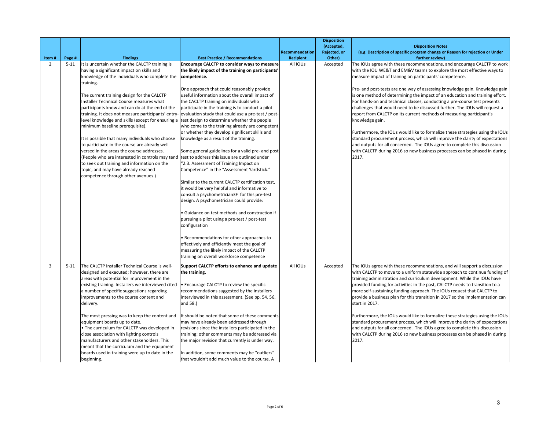|                |          |                                                                                                                                                                                                                                                                                                                                                                                                                                                                                                                                                                                                                                                                                                                                                                                     |                                                                                                                                                                                                                                                                                                                                                                                                                                                                                                                                                                                                                                                                                                                                                                                                                                                                                                                                                                                                                                                                                                                                                                                                                                                                               |                                           | <b>Disposition</b><br>(Accepted, | <b>Disposition Notes</b>                                                                                                                                                                                                                                                                                                                                                                                                                                                                                                                                                                                                                                                                                                                                                                                                                                                                                                                                               |
|----------------|----------|-------------------------------------------------------------------------------------------------------------------------------------------------------------------------------------------------------------------------------------------------------------------------------------------------------------------------------------------------------------------------------------------------------------------------------------------------------------------------------------------------------------------------------------------------------------------------------------------------------------------------------------------------------------------------------------------------------------------------------------------------------------------------------------|-------------------------------------------------------------------------------------------------------------------------------------------------------------------------------------------------------------------------------------------------------------------------------------------------------------------------------------------------------------------------------------------------------------------------------------------------------------------------------------------------------------------------------------------------------------------------------------------------------------------------------------------------------------------------------------------------------------------------------------------------------------------------------------------------------------------------------------------------------------------------------------------------------------------------------------------------------------------------------------------------------------------------------------------------------------------------------------------------------------------------------------------------------------------------------------------------------------------------------------------------------------------------------|-------------------------------------------|----------------------------------|------------------------------------------------------------------------------------------------------------------------------------------------------------------------------------------------------------------------------------------------------------------------------------------------------------------------------------------------------------------------------------------------------------------------------------------------------------------------------------------------------------------------------------------------------------------------------------------------------------------------------------------------------------------------------------------------------------------------------------------------------------------------------------------------------------------------------------------------------------------------------------------------------------------------------------------------------------------------|
| Item#          | Page #   | <b>Findings</b>                                                                                                                                                                                                                                                                                                                                                                                                                                                                                                                                                                                                                                                                                                                                                                     | <b>Best Practice / Recommendations</b>                                                                                                                                                                                                                                                                                                                                                                                                                                                                                                                                                                                                                                                                                                                                                                                                                                                                                                                                                                                                                                                                                                                                                                                                                                        | <b>Recommendation</b><br><b>Recipient</b> | Rejected, or<br>Other)           | (e.g. Description of specific program change or Reason for rejection or Under<br>further review)                                                                                                                                                                                                                                                                                                                                                                                                                                                                                                                                                                                                                                                                                                                                                                                                                                                                       |
| 2              | $5 - 11$ | It is uncertain whether the CALCTP training is<br>having a significant impact on skills and<br>knowledge of the individuals who complete the<br>training.<br>The current training design for the CALCTP<br>Installer Technical Course measures what<br>participants know and can do at the end of the<br>training. It does not measure participants' entry-<br>level knowledge and skills (except for ensuring a<br>minimum baseline prerequisite).<br>It is possible that many individuals who choose<br>to participate in the course are already well<br>versed in the areas the course addresses.<br>(People who are interested in controls may tend<br>to seek out training and information on the<br>topic, and may have already reached<br>competence through other avenues.) | Encourage CALCTP to consider ways to measure<br>the likely impact of the training on participants'<br>competence.<br>One approach that could reasonably provide<br>useful information about the overall impact of<br>the CACLTP training on individuals who<br>participate in the training is to conduct a pilot<br>evaluation study that could use a pre-test / post-<br>test design to determine whether the people<br>who come to the training already are competent<br>or whether they develop significant skills and<br>knowledge as a result of the training.<br>Some general guidelines for a valid pre- and post-<br>test to address this issue are outlined under<br>"2.3. Assessment of Training Impact on<br>Competence" in the "Assessment Yardstick."<br>Similar to the current CALCTP certification test,<br>it would be very helpful and informative to<br>consult a psychometrician3F for this pre-test<br>design. A psychometrician could provide:<br>· Guidance on test methods and construction if<br>pursuing a pilot using a pre-test / post-test<br>configuration<br>· Recommendations for other approaches to<br>effectively and efficiently meet the goal of<br>measuring the likely impact of the CALCTP<br>training on overall workforce competence | All IOUs                                  | Accepted                         | The IOUs agree with these recommendations, and encourage CALCTP to work<br>with the IOU WE&T and EM&V teams to explore the most effective ways to<br>measure impact of training on participants' competence.<br>Pre- and post-tests are one way of assessing knowledge gain. Knowledge gain<br>is one method of determining the impact of an education and training effort.<br>For hands-on and technical classes, conducting a pre-course test presents<br>challenges that would need to be discussed further. The IOUs will request a<br>report from CALCTP on its current methods of measuring participant's<br>knowledge gain.<br>Furthermore, the IOUs would like to formalize these strategies using the IOUs<br>standard procurement process, which will improve the clarity of expectations<br>and outputs for all concerned. The IOUs agree to complete this discussion<br>with CALCTP during 2016 so new business processes can be phased in during<br>2017. |
| $\overline{3}$ | $5 - 11$ | The CALCTP Installer Technical Course is well-<br>designed and executed; however, there are<br>areas with potential for improvement in the<br>existing training. Installers we interviewed cited<br>a number of specific suggestions regarding<br>improvements to the course content and<br>delivery.<br>The most pressing was to keep the content and<br>equipment boards up to date.<br>• The curriculum for CALCTP was developed in<br>close association with lighting controls<br>manufacturers and other stakeholders. This<br>meant that the curriculum and the equipment<br>boards used in training were up to date in the                                                                                                                                                   | Support CALCTP efforts to enhance and update<br>the training.<br>. Encourage CALCTP to review the specific<br>recommendations suggested by the installers<br>interviewed in this assessment. (See pp. 54, 56,<br>and 58.)<br>It should be noted that some of these comments<br>may have already been addressed through<br>revisions since the installers participated in the<br>training; other comments may be addressed via<br>the major revision that currently is under way.<br>In addition, some comments may be "outliers"                                                                                                                                                                                                                                                                                                                                                                                                                                                                                                                                                                                                                                                                                                                                              | All IOUs                                  | Accepted                         | The IOUs agree with these recommendations, and will support a discussion<br>with CALCTP to move to a uniform statewide approach to continue funding of<br>training administration and curriculum development. While the IOUs have<br>provided funding for activities in the past, CALCTP needs to transition to a<br>more self-sustaining funding approach. The IOUs request that CALCTP to<br>provide a business plan for this transition in 2017 so the implementation can<br>start in 2017.<br>Furthermore, the IOUs would like to formalize these strategies using the IOUs<br>standard procurement process, which will improve the clarity of expectations<br>and outputs for all concerned. The IOUs agree to complete this discussion<br>with CALCTP during 2016 so new business processes can be phased in during<br>2017.                                                                                                                                     |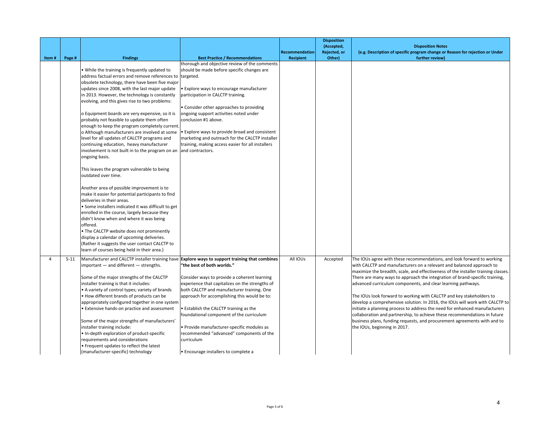| Item#    | Page #   | <b>Findings</b>                                                                                                                                                                                                                                                                                                                                                                                                                                                                                                                                                                                                                                                                                                                                                                                                                                                                                                                                                                                                                                                                                                                                                                                                                                            | <b>Best Practice / Recommendations</b>                                                                                                                                                                                                                                                                                                                                                                                                                                                                                                                              | Recommendation<br><b>Recipient</b> | <b>Disposition</b><br>(Accepted,<br>Rejected, or<br>Other) | <b>Disposition Notes</b><br>(e.g. Description of specific program change or Reason for rejection or Under<br>further review)                                                                                                                                                                                                                                                                                                                                                                                                                                                                                                                                                                                                                                                                                      |
|----------|----------|------------------------------------------------------------------------------------------------------------------------------------------------------------------------------------------------------------------------------------------------------------------------------------------------------------------------------------------------------------------------------------------------------------------------------------------------------------------------------------------------------------------------------------------------------------------------------------------------------------------------------------------------------------------------------------------------------------------------------------------------------------------------------------------------------------------------------------------------------------------------------------------------------------------------------------------------------------------------------------------------------------------------------------------------------------------------------------------------------------------------------------------------------------------------------------------------------------------------------------------------------------|---------------------------------------------------------------------------------------------------------------------------------------------------------------------------------------------------------------------------------------------------------------------------------------------------------------------------------------------------------------------------------------------------------------------------------------------------------------------------------------------------------------------------------------------------------------------|------------------------------------|------------------------------------------------------------|-------------------------------------------------------------------------------------------------------------------------------------------------------------------------------------------------------------------------------------------------------------------------------------------------------------------------------------------------------------------------------------------------------------------------------------------------------------------------------------------------------------------------------------------------------------------------------------------------------------------------------------------------------------------------------------------------------------------------------------------------------------------------------------------------------------------|
|          |          | . While the training is frequently updated to<br>address factual errors and remove references to targeted.<br>obsolete technology, there have been five major<br>updates since 2008, with the last major update<br>in 2013. However, the technology is constantly<br>evolving, and this gives rise to two problems:<br>o Equipment boards are very expensive, so it is<br>probably not feasible to update them often<br>enough to keep the program completely current.<br>o Although manufacturers are involved at some<br>level for all updates of CALCTP programs and<br>continuing education, heavy manufacturer<br>involvement is not built in to the program on an<br>ongoing basis.<br>This leaves the program vulnerable to being<br>outdated over time.<br>Another area of possible improvement is to<br>make it easier for potential participants to find<br>deliveries in their areas.<br>• Some installers indicated it was difficult to get<br>enrolled in the course, largely because they<br>didn't know when and where it was being<br>offered.<br>. The CALCTP website does not prominently<br>display a calendar of upcoming deliveries.<br>(Rather it suggests the user contact CALCTP to<br>learn of courses being held in their area.) | thorough and objective review of the comments<br>should be made before specific changes are<br>• Explore ways to encourage manufacturer<br>participation in CALCTP training.<br>• Consider other approaches to providing<br>ongoing support activities noted under<br>conclusion #1 above.<br>. Explore ways to provide broad and consistent<br>marketing and outreach for the CALCTP installer<br>training, making access easier for all installers<br>and contractors.                                                                                            |                                    |                                                            |                                                                                                                                                                                                                                                                                                                                                                                                                                                                                                                                                                                                                                                                                                                                                                                                                   |
| $\Delta$ | $5 - 11$ | $important - and different - strengths.$<br>Some of the major strengths of the CALCTP<br>installer training is that it includes:<br>• A variety of control types; variety of brands<br>. How different brands of products can be<br>appropriately configured together in one system<br><b>Extensive hands-on practice and assessment</b><br>Some of the major strengths of manufacturers'<br>installer training include:<br>. In-depth exploration of product-specific<br>requirements and considerations<br>• Frequent updates to reflect the latest<br>(manufacturer-specific) technology                                                                                                                                                                                                                                                                                                                                                                                                                                                                                                                                                                                                                                                                | Manufacturer and CALCTP installer training have Explore ways to support training that combines<br>"the best of both worlds."<br>Consider ways to provide a coherent learning<br>experience that capitalizes on the strengths of<br>both CALCTP and manufacturer training. One<br>approach for accomplishing this would be to:<br>• Establish the CALCTP training as the<br>foundational component of the curriculum<br>· Provide manufacturer-specific modules as<br>recommended "advanced" components of the<br>curriculum<br>• Encourage installers to complete a | All IOUs                           | Accepted                                                   | The IOUs agree with these recommendations, and look forward to working<br>with CALCTP and manufacturers on a relevant and balanced approach to<br>maximize the breadth, scale, and effectiveness of the installer training classes.<br>There are many ways to approach the integration of brand-specific training,<br>advanced curriculum components, and clear learning pathways.<br>The IOUs look forward to working with CALCTP and key stakeholders to<br>develop a comprehensive solution. In 2016, the IOUs will work with CALCTP to<br>initiate a planning process to address the need for enhanced manufacturers<br>collaboration and partnership, to achieve these recommendations in future<br>business plans, funding requests, and procurement agreements with and to<br>the IOUs, beginning in 2017. |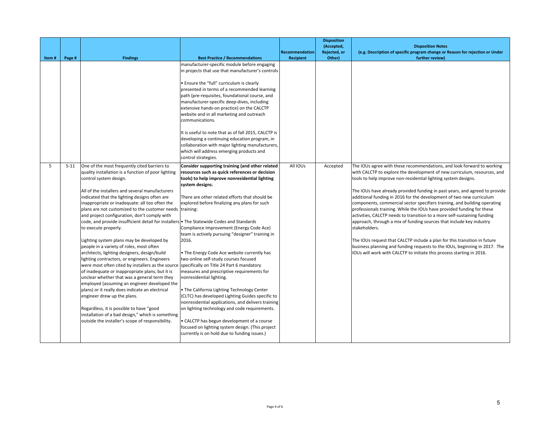|       |          |                                                                                                                                                                                                                                                                                                                                                                                                                                                                                                                                                                                                                                                                                                                                                                                                                                                                                                                                                                                                                                                                                                                           |                                                                                                                                                                                                                                                                                                                                                                                                                                                                                                                                                                                                                                                                                                                                                                                                                                                                                                                                                                                                      | Recommendation   | <b>Disposition</b><br>(Accepted,<br>Rejected, or | <b>Disposition Notes</b><br>(e.g. Description of specific program change or Reason for rejection or Under                                                                                                                                                                                                                                                                                                                                                                                                                                                                                                                                                                                                                                                                                                                                                                                                                                   |
|-------|----------|---------------------------------------------------------------------------------------------------------------------------------------------------------------------------------------------------------------------------------------------------------------------------------------------------------------------------------------------------------------------------------------------------------------------------------------------------------------------------------------------------------------------------------------------------------------------------------------------------------------------------------------------------------------------------------------------------------------------------------------------------------------------------------------------------------------------------------------------------------------------------------------------------------------------------------------------------------------------------------------------------------------------------------------------------------------------------------------------------------------------------|------------------------------------------------------------------------------------------------------------------------------------------------------------------------------------------------------------------------------------------------------------------------------------------------------------------------------------------------------------------------------------------------------------------------------------------------------------------------------------------------------------------------------------------------------------------------------------------------------------------------------------------------------------------------------------------------------------------------------------------------------------------------------------------------------------------------------------------------------------------------------------------------------------------------------------------------------------------------------------------------------|------------------|--------------------------------------------------|---------------------------------------------------------------------------------------------------------------------------------------------------------------------------------------------------------------------------------------------------------------------------------------------------------------------------------------------------------------------------------------------------------------------------------------------------------------------------------------------------------------------------------------------------------------------------------------------------------------------------------------------------------------------------------------------------------------------------------------------------------------------------------------------------------------------------------------------------------------------------------------------------------------------------------------------|
| Item# | Page #   | <b>Findings</b>                                                                                                                                                                                                                                                                                                                                                                                                                                                                                                                                                                                                                                                                                                                                                                                                                                                                                                                                                                                                                                                                                                           | <b>Best Practice / Recommendations</b><br>manufacturer-specific module before engaging<br>in projects that use that manufacturer's controls<br>. Ensure the "full" curriculum is clearly<br>presented in terms of a recommended learning<br>path (pre-requisites, foundational course, and<br>manufacturer-specific deep-dives, including<br>extensive hands-on practice) on the CALCTP<br>website and in all marketing and outreach<br>communications.<br>It is useful to note that as of fall 2015, CALCTP is<br>developing a continuing education program, in<br>collaboration with major lighting manufacturers,<br>which will address emerging products and<br>control strategies.                                                                                                                                                                                                                                                                                                              | <b>Recipient</b> | Other)                                           | further review)                                                                                                                                                                                                                                                                                                                                                                                                                                                                                                                                                                                                                                                                                                                                                                                                                                                                                                                             |
| 5     | $5 - 11$ | One of the most frequently cited barriers to<br>quality installation is a function of poor lighting<br>control system design.<br>All of the installers and several manufacturers<br>indicated that the lighting designs often are<br>inappropriate or inadequate: all too often the<br>plans are not customized to the customer needs  training:<br>and project configuration, don't comply with<br>code, and provide insufficient detail for installers<br>to execute properly.<br>Lighting system plans may be developed by<br>people in a variety of roles, most often<br>architects, lighting designers, design/build<br>lighting contractors, or engineers. Engineers<br>were most often cited by installers as the source<br>of inadequate or inappropriate plans, but it is<br>unclear whether that was a general term they<br>employed (assuming an engineer developed the<br>plans) or it really does indicate an electrical<br>engineer drew up the plans.<br>Regardless, it is possible to have "good<br>installation of a bad design," which is something<br>outside the installer's scope of responsibility. | Consider supporting training (and other related<br>resources such as quick references or decision<br>tools) to help improve nonresidential lighting<br>system designs.<br>There are other related efforts that should be<br>explored before finalizing any plans for such<br>• The Statewide Codes and Standards<br>Compliance Improvement (Energy Code Ace)<br>team is actively pursuing "designer" training in<br>2016.<br>. The Energy Code Ace website currently has<br>two online self-study courses focused<br>specifically on Title 24 Part 6 mandatory<br>measures and prescriptive requirements for<br>nonresidential lighting.<br>. The California Lighting Technology Center<br>(CLTC) has developed Lighting Guides specific to<br>nonresidential applications, and delivers training<br>on lighting technology and code requirements.<br>• CALCTP has begun development of a course<br>focused on lighting system design. (This project<br>currently is on hold due to funding issues.) | All IOUs         | Accepted                                         | The IOUs agree with these recommendations, and look forward to working<br>with CALCTP to explore the development of new curriculum, resources, and<br>tools to help improve non-residential lighting system designs.<br>The IOUs have already provided funding in past years, and agreed to provide<br>additional funding in 2016 for the development of two new curriculum<br>components, commercial sector specifiers training, and building operating<br>professionals training. While the IOUs have provided funding for these<br>activities, CALCTP needs to transition to a more self-sustaining funding<br>approach, through a mix of funding sources that include key industry<br>stakeholders.<br>The IOUs request that CALCTP include a plan for this transition in future<br>business planning and funding requests to the IOUs, beginning in 2017. The<br>IOUs will work with CALCTP to initiate this process starting in 2016. |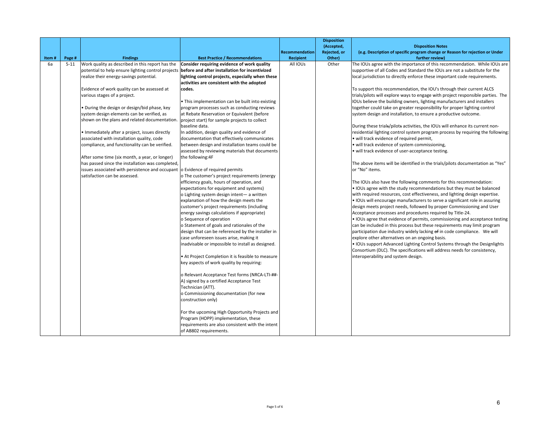| Rejected, or<br>(e.g. Description of specific program change or Reason for rejection or Under<br>Recommendation<br><b>Best Practice / Recommendations</b><br>Recipient<br>further review)<br>Item#<br>Page #<br><b>Findings</b><br>Other)<br>Work quality as described in this report has the<br>6а<br>Consider requiring evidence of work quality<br>All IOUs<br>Other<br>$5-11$<br>supportive of all Codes and Standard the IOUs are not a substitute for the<br>potential to help ensure lighting control projects<br>before and after installation for incentivized<br>lighting control projects, especially when these<br>realize their energy-savings potential.<br>local jurisdiction to directly enforce these important code requirements.<br>activities are consistent with the adopted<br>Evidence of work quality can be assessed at<br>codes.<br>To support this recommendation, the IOU's through their current ALCS<br>various stages of a project.<br>trials/pilots will explore ways to engage with project responsible parties. The<br>IOUs believe the building owners, lighting manufacturers and installers<br>• This implementation can be built into existing<br>. During the design or design/bid phase, key<br>program processes such as conducting reviews<br>together could take on greater responsibility for proper lighting control<br>system design elements can be verified, as<br>at Rebate Reservation or Equivalent (before<br>system design and installation, to ensure a productive outcome.<br>shown on the plans and related documentation.<br>project start) for sample projects to collect<br>baseline data.<br>During these trials/pilots activities, the IOUs will enhance its current non-<br>· Immediately after a project, issues directly<br>In addition, design quality and evidence of<br>residential lighting control system program process by requiring the following:<br>associated with installation quality, code<br>documentation that effectively communicates<br>· will track evidence of required permit,<br>compliance, and functionality can be verified.<br>between design and installation teams could be<br>· will track evidence of system commissioning,<br>assessed by reviewing materials that documents<br>· will track evidence of user-acceptance testing.<br>After some time (six month, a year, or longer)<br>the following:4F<br>has passed since the installation was completed,<br>The above items will be identified in the trials/pilots documentation as "Yes"<br>or "No" items.<br>issues associated with persistence and occupant o Evidence of required permits<br>satisfaction can be assessed.<br>o The customer's project requirements (energy<br>The IOUs also have the following comments for this recommendation:<br>efficiency goals, hours of operation, and<br>. IOUs agree with the study recommendations but they must be balanced<br>expectations for equipment and systems)<br>o Lighting system design intent- a written<br>with required resources, cost effectiveness, and lighting design expertise.<br>. IOUs will encourage manufacturers to serve a significant role in assuring<br>explanation of how the design meets the<br>design meets project needs, followed by proper Commissioning and User<br>customer's project requirements (including<br>Acceptance processes and procedures required by Title-24.<br>energy savings calculations if appropriate)<br>o Sequence of operation<br>o Statement of goals and rationales of the<br>can be included in this process but these requirements may limit program<br>design that can be referenced by the installer in<br>participation due industry widely lacking of in code compliance. We will<br>case unforeseen issues arise, making it<br>explore other alternatives on an ongoing basis.<br>inadvisable or impossible to install as designed.<br>. IOUs support Advanced Lighting Control Systems through the Designlights<br>Consortium (DLC). The specifications will address needs for consistency,<br>• At Project Completion it is feasible to measure<br>interoperability and system design.<br>key aspects of work quality by requiring:<br>o Relevant Acceptance Test forms (NRCA-LTI-##-<br>A) signed by a certified Acceptance Test<br>Technician (ATT).<br>o Commissioning documentation (for new<br>construction only)<br>For the upcoming High Opportunity Projects and<br>Program (HOPP) implementation, these<br>requirements are also consistent with the intent |  |                        | <b>Disposition</b> |                                                                             |
|--------------------------------------------------------------------------------------------------------------------------------------------------------------------------------------------------------------------------------------------------------------------------------------------------------------------------------------------------------------------------------------------------------------------------------------------------------------------------------------------------------------------------------------------------------------------------------------------------------------------------------------------------------------------------------------------------------------------------------------------------------------------------------------------------------------------------------------------------------------------------------------------------------------------------------------------------------------------------------------------------------------------------------------------------------------------------------------------------------------------------------------------------------------------------------------------------------------------------------------------------------------------------------------------------------------------------------------------------------------------------------------------------------------------------------------------------------------------------------------------------------------------------------------------------------------------------------------------------------------------------------------------------------------------------------------------------------------------------------------------------------------------------------------------------------------------------------------------------------------------------------------------------------------------------------------------------------------------------------------------------------------------------------------------------------------------------------------------------------------------------------------------------------------------------------------------------------------------------------------------------------------------------------------------------------------------------------------------------------------------------------------------------------------------------------------------------------------------------------------------------------------------------------------------------------------------------------------------------------------------------------------------------------------------------------------------------------------------------------------------------------------------------------------------------------------------------------------------------------------------------------------------------------------------------------------------------------------------------------------------------------------------------------------------------------------------------------------------------------------------------------------------------------------------------------------------------------------------------------------------------------------------------------------------------------------------------------------------------------------------------------------------------------------------------------------------------------------------------------------------------------------------------------------------------------------------------------------------------------------------------------------------------------------------------------------------------------------------------------------------------------------------------------------------------------------------------------------------------------------------------------------------------------------------------------------------------------------------------------------------------------------------------------------------------------------------------------------------------------------------------------------------------------------------------------------------------------------------------------------------------------------------------------------------------------------------------------------------------------------------------------------------------------------------------------------------------------------------------------------------------------------------------------------------------|--|------------------------|--------------------|-----------------------------------------------------------------------------|
|                                                                                                                                                                                                                                                                                                                                                                                                                                                                                                                                                                                                                                                                                                                                                                                                                                                                                                                                                                                                                                                                                                                                                                                                                                                                                                                                                                                                                                                                                                                                                                                                                                                                                                                                                                                                                                                                                                                                                                                                                                                                                                                                                                                                                                                                                                                                                                                                                                                                                                                                                                                                                                                                                                                                                                                                                                                                                                                                                                                                                                                                                                                                                                                                                                                                                                                                                                                                                                                                                                                                                                                                                                                                                                                                                                                                                                                                                                                                                                                                                                                                                                                                                                                                                                                                                                                                                                                                                                                                                                                                                  |  |                        | (Accepted,         | <b>Disposition Notes</b>                                                    |
|                                                                                                                                                                                                                                                                                                                                                                                                                                                                                                                                                                                                                                                                                                                                                                                                                                                                                                                                                                                                                                                                                                                                                                                                                                                                                                                                                                                                                                                                                                                                                                                                                                                                                                                                                                                                                                                                                                                                                                                                                                                                                                                                                                                                                                                                                                                                                                                                                                                                                                                                                                                                                                                                                                                                                                                                                                                                                                                                                                                                                                                                                                                                                                                                                                                                                                                                                                                                                                                                                                                                                                                                                                                                                                                                                                                                                                                                                                                                                                                                                                                                                                                                                                                                                                                                                                                                                                                                                                                                                                                                                  |  |                        |                    |                                                                             |
|                                                                                                                                                                                                                                                                                                                                                                                                                                                                                                                                                                                                                                                                                                                                                                                                                                                                                                                                                                                                                                                                                                                                                                                                                                                                                                                                                                                                                                                                                                                                                                                                                                                                                                                                                                                                                                                                                                                                                                                                                                                                                                                                                                                                                                                                                                                                                                                                                                                                                                                                                                                                                                                                                                                                                                                                                                                                                                                                                                                                                                                                                                                                                                                                                                                                                                                                                                                                                                                                                                                                                                                                                                                                                                                                                                                                                                                                                                                                                                                                                                                                                                                                                                                                                                                                                                                                                                                                                                                                                                                                                  |  |                        |                    | The IOUs agree with the importance of this recommendation. While IOUs are   |
|                                                                                                                                                                                                                                                                                                                                                                                                                                                                                                                                                                                                                                                                                                                                                                                                                                                                                                                                                                                                                                                                                                                                                                                                                                                                                                                                                                                                                                                                                                                                                                                                                                                                                                                                                                                                                                                                                                                                                                                                                                                                                                                                                                                                                                                                                                                                                                                                                                                                                                                                                                                                                                                                                                                                                                                                                                                                                                                                                                                                                                                                                                                                                                                                                                                                                                                                                                                                                                                                                                                                                                                                                                                                                                                                                                                                                                                                                                                                                                                                                                                                                                                                                                                                                                                                                                                                                                                                                                                                                                                                                  |  |                        |                    |                                                                             |
|                                                                                                                                                                                                                                                                                                                                                                                                                                                                                                                                                                                                                                                                                                                                                                                                                                                                                                                                                                                                                                                                                                                                                                                                                                                                                                                                                                                                                                                                                                                                                                                                                                                                                                                                                                                                                                                                                                                                                                                                                                                                                                                                                                                                                                                                                                                                                                                                                                                                                                                                                                                                                                                                                                                                                                                                                                                                                                                                                                                                                                                                                                                                                                                                                                                                                                                                                                                                                                                                                                                                                                                                                                                                                                                                                                                                                                                                                                                                                                                                                                                                                                                                                                                                                                                                                                                                                                                                                                                                                                                                                  |  |                        |                    |                                                                             |
|                                                                                                                                                                                                                                                                                                                                                                                                                                                                                                                                                                                                                                                                                                                                                                                                                                                                                                                                                                                                                                                                                                                                                                                                                                                                                                                                                                                                                                                                                                                                                                                                                                                                                                                                                                                                                                                                                                                                                                                                                                                                                                                                                                                                                                                                                                                                                                                                                                                                                                                                                                                                                                                                                                                                                                                                                                                                                                                                                                                                                                                                                                                                                                                                                                                                                                                                                                                                                                                                                                                                                                                                                                                                                                                                                                                                                                                                                                                                                                                                                                                                                                                                                                                                                                                                                                                                                                                                                                                                                                                                                  |  |                        |                    |                                                                             |
|                                                                                                                                                                                                                                                                                                                                                                                                                                                                                                                                                                                                                                                                                                                                                                                                                                                                                                                                                                                                                                                                                                                                                                                                                                                                                                                                                                                                                                                                                                                                                                                                                                                                                                                                                                                                                                                                                                                                                                                                                                                                                                                                                                                                                                                                                                                                                                                                                                                                                                                                                                                                                                                                                                                                                                                                                                                                                                                                                                                                                                                                                                                                                                                                                                                                                                                                                                                                                                                                                                                                                                                                                                                                                                                                                                                                                                                                                                                                                                                                                                                                                                                                                                                                                                                                                                                                                                                                                                                                                                                                                  |  |                        |                    |                                                                             |
|                                                                                                                                                                                                                                                                                                                                                                                                                                                                                                                                                                                                                                                                                                                                                                                                                                                                                                                                                                                                                                                                                                                                                                                                                                                                                                                                                                                                                                                                                                                                                                                                                                                                                                                                                                                                                                                                                                                                                                                                                                                                                                                                                                                                                                                                                                                                                                                                                                                                                                                                                                                                                                                                                                                                                                                                                                                                                                                                                                                                                                                                                                                                                                                                                                                                                                                                                                                                                                                                                                                                                                                                                                                                                                                                                                                                                                                                                                                                                                                                                                                                                                                                                                                                                                                                                                                                                                                                                                                                                                                                                  |  |                        |                    |                                                                             |
|                                                                                                                                                                                                                                                                                                                                                                                                                                                                                                                                                                                                                                                                                                                                                                                                                                                                                                                                                                                                                                                                                                                                                                                                                                                                                                                                                                                                                                                                                                                                                                                                                                                                                                                                                                                                                                                                                                                                                                                                                                                                                                                                                                                                                                                                                                                                                                                                                                                                                                                                                                                                                                                                                                                                                                                                                                                                                                                                                                                                                                                                                                                                                                                                                                                                                                                                                                                                                                                                                                                                                                                                                                                                                                                                                                                                                                                                                                                                                                                                                                                                                                                                                                                                                                                                                                                                                                                                                                                                                                                                                  |  |                        |                    |                                                                             |
|                                                                                                                                                                                                                                                                                                                                                                                                                                                                                                                                                                                                                                                                                                                                                                                                                                                                                                                                                                                                                                                                                                                                                                                                                                                                                                                                                                                                                                                                                                                                                                                                                                                                                                                                                                                                                                                                                                                                                                                                                                                                                                                                                                                                                                                                                                                                                                                                                                                                                                                                                                                                                                                                                                                                                                                                                                                                                                                                                                                                                                                                                                                                                                                                                                                                                                                                                                                                                                                                                                                                                                                                                                                                                                                                                                                                                                                                                                                                                                                                                                                                                                                                                                                                                                                                                                                                                                                                                                                                                                                                                  |  |                        |                    |                                                                             |
|                                                                                                                                                                                                                                                                                                                                                                                                                                                                                                                                                                                                                                                                                                                                                                                                                                                                                                                                                                                                                                                                                                                                                                                                                                                                                                                                                                                                                                                                                                                                                                                                                                                                                                                                                                                                                                                                                                                                                                                                                                                                                                                                                                                                                                                                                                                                                                                                                                                                                                                                                                                                                                                                                                                                                                                                                                                                                                                                                                                                                                                                                                                                                                                                                                                                                                                                                                                                                                                                                                                                                                                                                                                                                                                                                                                                                                                                                                                                                                                                                                                                                                                                                                                                                                                                                                                                                                                                                                                                                                                                                  |  |                        |                    |                                                                             |
|                                                                                                                                                                                                                                                                                                                                                                                                                                                                                                                                                                                                                                                                                                                                                                                                                                                                                                                                                                                                                                                                                                                                                                                                                                                                                                                                                                                                                                                                                                                                                                                                                                                                                                                                                                                                                                                                                                                                                                                                                                                                                                                                                                                                                                                                                                                                                                                                                                                                                                                                                                                                                                                                                                                                                                                                                                                                                                                                                                                                                                                                                                                                                                                                                                                                                                                                                                                                                                                                                                                                                                                                                                                                                                                                                                                                                                                                                                                                                                                                                                                                                                                                                                                                                                                                                                                                                                                                                                                                                                                                                  |  |                        |                    |                                                                             |
|                                                                                                                                                                                                                                                                                                                                                                                                                                                                                                                                                                                                                                                                                                                                                                                                                                                                                                                                                                                                                                                                                                                                                                                                                                                                                                                                                                                                                                                                                                                                                                                                                                                                                                                                                                                                                                                                                                                                                                                                                                                                                                                                                                                                                                                                                                                                                                                                                                                                                                                                                                                                                                                                                                                                                                                                                                                                                                                                                                                                                                                                                                                                                                                                                                                                                                                                                                                                                                                                                                                                                                                                                                                                                                                                                                                                                                                                                                                                                                                                                                                                                                                                                                                                                                                                                                                                                                                                                                                                                                                                                  |  |                        |                    |                                                                             |
|                                                                                                                                                                                                                                                                                                                                                                                                                                                                                                                                                                                                                                                                                                                                                                                                                                                                                                                                                                                                                                                                                                                                                                                                                                                                                                                                                                                                                                                                                                                                                                                                                                                                                                                                                                                                                                                                                                                                                                                                                                                                                                                                                                                                                                                                                                                                                                                                                                                                                                                                                                                                                                                                                                                                                                                                                                                                                                                                                                                                                                                                                                                                                                                                                                                                                                                                                                                                                                                                                                                                                                                                                                                                                                                                                                                                                                                                                                                                                                                                                                                                                                                                                                                                                                                                                                                                                                                                                                                                                                                                                  |  |                        |                    |                                                                             |
|                                                                                                                                                                                                                                                                                                                                                                                                                                                                                                                                                                                                                                                                                                                                                                                                                                                                                                                                                                                                                                                                                                                                                                                                                                                                                                                                                                                                                                                                                                                                                                                                                                                                                                                                                                                                                                                                                                                                                                                                                                                                                                                                                                                                                                                                                                                                                                                                                                                                                                                                                                                                                                                                                                                                                                                                                                                                                                                                                                                                                                                                                                                                                                                                                                                                                                                                                                                                                                                                                                                                                                                                                                                                                                                                                                                                                                                                                                                                                                                                                                                                                                                                                                                                                                                                                                                                                                                                                                                                                                                                                  |  |                        |                    |                                                                             |
|                                                                                                                                                                                                                                                                                                                                                                                                                                                                                                                                                                                                                                                                                                                                                                                                                                                                                                                                                                                                                                                                                                                                                                                                                                                                                                                                                                                                                                                                                                                                                                                                                                                                                                                                                                                                                                                                                                                                                                                                                                                                                                                                                                                                                                                                                                                                                                                                                                                                                                                                                                                                                                                                                                                                                                                                                                                                                                                                                                                                                                                                                                                                                                                                                                                                                                                                                                                                                                                                                                                                                                                                                                                                                                                                                                                                                                                                                                                                                                                                                                                                                                                                                                                                                                                                                                                                                                                                                                                                                                                                                  |  |                        |                    |                                                                             |
|                                                                                                                                                                                                                                                                                                                                                                                                                                                                                                                                                                                                                                                                                                                                                                                                                                                                                                                                                                                                                                                                                                                                                                                                                                                                                                                                                                                                                                                                                                                                                                                                                                                                                                                                                                                                                                                                                                                                                                                                                                                                                                                                                                                                                                                                                                                                                                                                                                                                                                                                                                                                                                                                                                                                                                                                                                                                                                                                                                                                                                                                                                                                                                                                                                                                                                                                                                                                                                                                                                                                                                                                                                                                                                                                                                                                                                                                                                                                                                                                                                                                                                                                                                                                                                                                                                                                                                                                                                                                                                                                                  |  |                        |                    |                                                                             |
|                                                                                                                                                                                                                                                                                                                                                                                                                                                                                                                                                                                                                                                                                                                                                                                                                                                                                                                                                                                                                                                                                                                                                                                                                                                                                                                                                                                                                                                                                                                                                                                                                                                                                                                                                                                                                                                                                                                                                                                                                                                                                                                                                                                                                                                                                                                                                                                                                                                                                                                                                                                                                                                                                                                                                                                                                                                                                                                                                                                                                                                                                                                                                                                                                                                                                                                                                                                                                                                                                                                                                                                                                                                                                                                                                                                                                                                                                                                                                                                                                                                                                                                                                                                                                                                                                                                                                                                                                                                                                                                                                  |  |                        |                    |                                                                             |
|                                                                                                                                                                                                                                                                                                                                                                                                                                                                                                                                                                                                                                                                                                                                                                                                                                                                                                                                                                                                                                                                                                                                                                                                                                                                                                                                                                                                                                                                                                                                                                                                                                                                                                                                                                                                                                                                                                                                                                                                                                                                                                                                                                                                                                                                                                                                                                                                                                                                                                                                                                                                                                                                                                                                                                                                                                                                                                                                                                                                                                                                                                                                                                                                                                                                                                                                                                                                                                                                                                                                                                                                                                                                                                                                                                                                                                                                                                                                                                                                                                                                                                                                                                                                                                                                                                                                                                                                                                                                                                                                                  |  |                        |                    |                                                                             |
|                                                                                                                                                                                                                                                                                                                                                                                                                                                                                                                                                                                                                                                                                                                                                                                                                                                                                                                                                                                                                                                                                                                                                                                                                                                                                                                                                                                                                                                                                                                                                                                                                                                                                                                                                                                                                                                                                                                                                                                                                                                                                                                                                                                                                                                                                                                                                                                                                                                                                                                                                                                                                                                                                                                                                                                                                                                                                                                                                                                                                                                                                                                                                                                                                                                                                                                                                                                                                                                                                                                                                                                                                                                                                                                                                                                                                                                                                                                                                                                                                                                                                                                                                                                                                                                                                                                                                                                                                                                                                                                                                  |  |                        |                    |                                                                             |
|                                                                                                                                                                                                                                                                                                                                                                                                                                                                                                                                                                                                                                                                                                                                                                                                                                                                                                                                                                                                                                                                                                                                                                                                                                                                                                                                                                                                                                                                                                                                                                                                                                                                                                                                                                                                                                                                                                                                                                                                                                                                                                                                                                                                                                                                                                                                                                                                                                                                                                                                                                                                                                                                                                                                                                                                                                                                                                                                                                                                                                                                                                                                                                                                                                                                                                                                                                                                                                                                                                                                                                                                                                                                                                                                                                                                                                                                                                                                                                                                                                                                                                                                                                                                                                                                                                                                                                                                                                                                                                                                                  |  |                        |                    |                                                                             |
|                                                                                                                                                                                                                                                                                                                                                                                                                                                                                                                                                                                                                                                                                                                                                                                                                                                                                                                                                                                                                                                                                                                                                                                                                                                                                                                                                                                                                                                                                                                                                                                                                                                                                                                                                                                                                                                                                                                                                                                                                                                                                                                                                                                                                                                                                                                                                                                                                                                                                                                                                                                                                                                                                                                                                                                                                                                                                                                                                                                                                                                                                                                                                                                                                                                                                                                                                                                                                                                                                                                                                                                                                                                                                                                                                                                                                                                                                                                                                                                                                                                                                                                                                                                                                                                                                                                                                                                                                                                                                                                                                  |  |                        |                    |                                                                             |
|                                                                                                                                                                                                                                                                                                                                                                                                                                                                                                                                                                                                                                                                                                                                                                                                                                                                                                                                                                                                                                                                                                                                                                                                                                                                                                                                                                                                                                                                                                                                                                                                                                                                                                                                                                                                                                                                                                                                                                                                                                                                                                                                                                                                                                                                                                                                                                                                                                                                                                                                                                                                                                                                                                                                                                                                                                                                                                                                                                                                                                                                                                                                                                                                                                                                                                                                                                                                                                                                                                                                                                                                                                                                                                                                                                                                                                                                                                                                                                                                                                                                                                                                                                                                                                                                                                                                                                                                                                                                                                                                                  |  |                        |                    |                                                                             |
|                                                                                                                                                                                                                                                                                                                                                                                                                                                                                                                                                                                                                                                                                                                                                                                                                                                                                                                                                                                                                                                                                                                                                                                                                                                                                                                                                                                                                                                                                                                                                                                                                                                                                                                                                                                                                                                                                                                                                                                                                                                                                                                                                                                                                                                                                                                                                                                                                                                                                                                                                                                                                                                                                                                                                                                                                                                                                                                                                                                                                                                                                                                                                                                                                                                                                                                                                                                                                                                                                                                                                                                                                                                                                                                                                                                                                                                                                                                                                                                                                                                                                                                                                                                                                                                                                                                                                                                                                                                                                                                                                  |  |                        |                    |                                                                             |
|                                                                                                                                                                                                                                                                                                                                                                                                                                                                                                                                                                                                                                                                                                                                                                                                                                                                                                                                                                                                                                                                                                                                                                                                                                                                                                                                                                                                                                                                                                                                                                                                                                                                                                                                                                                                                                                                                                                                                                                                                                                                                                                                                                                                                                                                                                                                                                                                                                                                                                                                                                                                                                                                                                                                                                                                                                                                                                                                                                                                                                                                                                                                                                                                                                                                                                                                                                                                                                                                                                                                                                                                                                                                                                                                                                                                                                                                                                                                                                                                                                                                                                                                                                                                                                                                                                                                                                                                                                                                                                                                                  |  |                        |                    |                                                                             |
|                                                                                                                                                                                                                                                                                                                                                                                                                                                                                                                                                                                                                                                                                                                                                                                                                                                                                                                                                                                                                                                                                                                                                                                                                                                                                                                                                                                                                                                                                                                                                                                                                                                                                                                                                                                                                                                                                                                                                                                                                                                                                                                                                                                                                                                                                                                                                                                                                                                                                                                                                                                                                                                                                                                                                                                                                                                                                                                                                                                                                                                                                                                                                                                                                                                                                                                                                                                                                                                                                                                                                                                                                                                                                                                                                                                                                                                                                                                                                                                                                                                                                                                                                                                                                                                                                                                                                                                                                                                                                                                                                  |  |                        |                    | . IOUs agree that evidence of permits, commissioning and acceptance testing |
|                                                                                                                                                                                                                                                                                                                                                                                                                                                                                                                                                                                                                                                                                                                                                                                                                                                                                                                                                                                                                                                                                                                                                                                                                                                                                                                                                                                                                                                                                                                                                                                                                                                                                                                                                                                                                                                                                                                                                                                                                                                                                                                                                                                                                                                                                                                                                                                                                                                                                                                                                                                                                                                                                                                                                                                                                                                                                                                                                                                                                                                                                                                                                                                                                                                                                                                                                                                                                                                                                                                                                                                                                                                                                                                                                                                                                                                                                                                                                                                                                                                                                                                                                                                                                                                                                                                                                                                                                                                                                                                                                  |  |                        |                    |                                                                             |
|                                                                                                                                                                                                                                                                                                                                                                                                                                                                                                                                                                                                                                                                                                                                                                                                                                                                                                                                                                                                                                                                                                                                                                                                                                                                                                                                                                                                                                                                                                                                                                                                                                                                                                                                                                                                                                                                                                                                                                                                                                                                                                                                                                                                                                                                                                                                                                                                                                                                                                                                                                                                                                                                                                                                                                                                                                                                                                                                                                                                                                                                                                                                                                                                                                                                                                                                                                                                                                                                                                                                                                                                                                                                                                                                                                                                                                                                                                                                                                                                                                                                                                                                                                                                                                                                                                                                                                                                                                                                                                                                                  |  |                        |                    |                                                                             |
|                                                                                                                                                                                                                                                                                                                                                                                                                                                                                                                                                                                                                                                                                                                                                                                                                                                                                                                                                                                                                                                                                                                                                                                                                                                                                                                                                                                                                                                                                                                                                                                                                                                                                                                                                                                                                                                                                                                                                                                                                                                                                                                                                                                                                                                                                                                                                                                                                                                                                                                                                                                                                                                                                                                                                                                                                                                                                                                                                                                                                                                                                                                                                                                                                                                                                                                                                                                                                                                                                                                                                                                                                                                                                                                                                                                                                                                                                                                                                                                                                                                                                                                                                                                                                                                                                                                                                                                                                                                                                                                                                  |  |                        |                    |                                                                             |
|                                                                                                                                                                                                                                                                                                                                                                                                                                                                                                                                                                                                                                                                                                                                                                                                                                                                                                                                                                                                                                                                                                                                                                                                                                                                                                                                                                                                                                                                                                                                                                                                                                                                                                                                                                                                                                                                                                                                                                                                                                                                                                                                                                                                                                                                                                                                                                                                                                                                                                                                                                                                                                                                                                                                                                                                                                                                                                                                                                                                                                                                                                                                                                                                                                                                                                                                                                                                                                                                                                                                                                                                                                                                                                                                                                                                                                                                                                                                                                                                                                                                                                                                                                                                                                                                                                                                                                                                                                                                                                                                                  |  |                        |                    |                                                                             |
|                                                                                                                                                                                                                                                                                                                                                                                                                                                                                                                                                                                                                                                                                                                                                                                                                                                                                                                                                                                                                                                                                                                                                                                                                                                                                                                                                                                                                                                                                                                                                                                                                                                                                                                                                                                                                                                                                                                                                                                                                                                                                                                                                                                                                                                                                                                                                                                                                                                                                                                                                                                                                                                                                                                                                                                                                                                                                                                                                                                                                                                                                                                                                                                                                                                                                                                                                                                                                                                                                                                                                                                                                                                                                                                                                                                                                                                                                                                                                                                                                                                                                                                                                                                                                                                                                                                                                                                                                                                                                                                                                  |  |                        |                    |                                                                             |
|                                                                                                                                                                                                                                                                                                                                                                                                                                                                                                                                                                                                                                                                                                                                                                                                                                                                                                                                                                                                                                                                                                                                                                                                                                                                                                                                                                                                                                                                                                                                                                                                                                                                                                                                                                                                                                                                                                                                                                                                                                                                                                                                                                                                                                                                                                                                                                                                                                                                                                                                                                                                                                                                                                                                                                                                                                                                                                                                                                                                                                                                                                                                                                                                                                                                                                                                                                                                                                                                                                                                                                                                                                                                                                                                                                                                                                                                                                                                                                                                                                                                                                                                                                                                                                                                                                                                                                                                                                                                                                                                                  |  |                        |                    |                                                                             |
|                                                                                                                                                                                                                                                                                                                                                                                                                                                                                                                                                                                                                                                                                                                                                                                                                                                                                                                                                                                                                                                                                                                                                                                                                                                                                                                                                                                                                                                                                                                                                                                                                                                                                                                                                                                                                                                                                                                                                                                                                                                                                                                                                                                                                                                                                                                                                                                                                                                                                                                                                                                                                                                                                                                                                                                                                                                                                                                                                                                                                                                                                                                                                                                                                                                                                                                                                                                                                                                                                                                                                                                                                                                                                                                                                                                                                                                                                                                                                                                                                                                                                                                                                                                                                                                                                                                                                                                                                                                                                                                                                  |  |                        |                    |                                                                             |
|                                                                                                                                                                                                                                                                                                                                                                                                                                                                                                                                                                                                                                                                                                                                                                                                                                                                                                                                                                                                                                                                                                                                                                                                                                                                                                                                                                                                                                                                                                                                                                                                                                                                                                                                                                                                                                                                                                                                                                                                                                                                                                                                                                                                                                                                                                                                                                                                                                                                                                                                                                                                                                                                                                                                                                                                                                                                                                                                                                                                                                                                                                                                                                                                                                                                                                                                                                                                                                                                                                                                                                                                                                                                                                                                                                                                                                                                                                                                                                                                                                                                                                                                                                                                                                                                                                                                                                                                                                                                                                                                                  |  |                        |                    |                                                                             |
|                                                                                                                                                                                                                                                                                                                                                                                                                                                                                                                                                                                                                                                                                                                                                                                                                                                                                                                                                                                                                                                                                                                                                                                                                                                                                                                                                                                                                                                                                                                                                                                                                                                                                                                                                                                                                                                                                                                                                                                                                                                                                                                                                                                                                                                                                                                                                                                                                                                                                                                                                                                                                                                                                                                                                                                                                                                                                                                                                                                                                                                                                                                                                                                                                                                                                                                                                                                                                                                                                                                                                                                                                                                                                                                                                                                                                                                                                                                                                                                                                                                                                                                                                                                                                                                                                                                                                                                                                                                                                                                                                  |  |                        |                    |                                                                             |
|                                                                                                                                                                                                                                                                                                                                                                                                                                                                                                                                                                                                                                                                                                                                                                                                                                                                                                                                                                                                                                                                                                                                                                                                                                                                                                                                                                                                                                                                                                                                                                                                                                                                                                                                                                                                                                                                                                                                                                                                                                                                                                                                                                                                                                                                                                                                                                                                                                                                                                                                                                                                                                                                                                                                                                                                                                                                                                                                                                                                                                                                                                                                                                                                                                                                                                                                                                                                                                                                                                                                                                                                                                                                                                                                                                                                                                                                                                                                                                                                                                                                                                                                                                                                                                                                                                                                                                                                                                                                                                                                                  |  |                        |                    |                                                                             |
|                                                                                                                                                                                                                                                                                                                                                                                                                                                                                                                                                                                                                                                                                                                                                                                                                                                                                                                                                                                                                                                                                                                                                                                                                                                                                                                                                                                                                                                                                                                                                                                                                                                                                                                                                                                                                                                                                                                                                                                                                                                                                                                                                                                                                                                                                                                                                                                                                                                                                                                                                                                                                                                                                                                                                                                                                                                                                                                                                                                                                                                                                                                                                                                                                                                                                                                                                                                                                                                                                                                                                                                                                                                                                                                                                                                                                                                                                                                                                                                                                                                                                                                                                                                                                                                                                                                                                                                                                                                                                                                                                  |  |                        |                    |                                                                             |
|                                                                                                                                                                                                                                                                                                                                                                                                                                                                                                                                                                                                                                                                                                                                                                                                                                                                                                                                                                                                                                                                                                                                                                                                                                                                                                                                                                                                                                                                                                                                                                                                                                                                                                                                                                                                                                                                                                                                                                                                                                                                                                                                                                                                                                                                                                                                                                                                                                                                                                                                                                                                                                                                                                                                                                                                                                                                                                                                                                                                                                                                                                                                                                                                                                                                                                                                                                                                                                                                                                                                                                                                                                                                                                                                                                                                                                                                                                                                                                                                                                                                                                                                                                                                                                                                                                                                                                                                                                                                                                                                                  |  | of AB802 requirements. |                    |                                                                             |